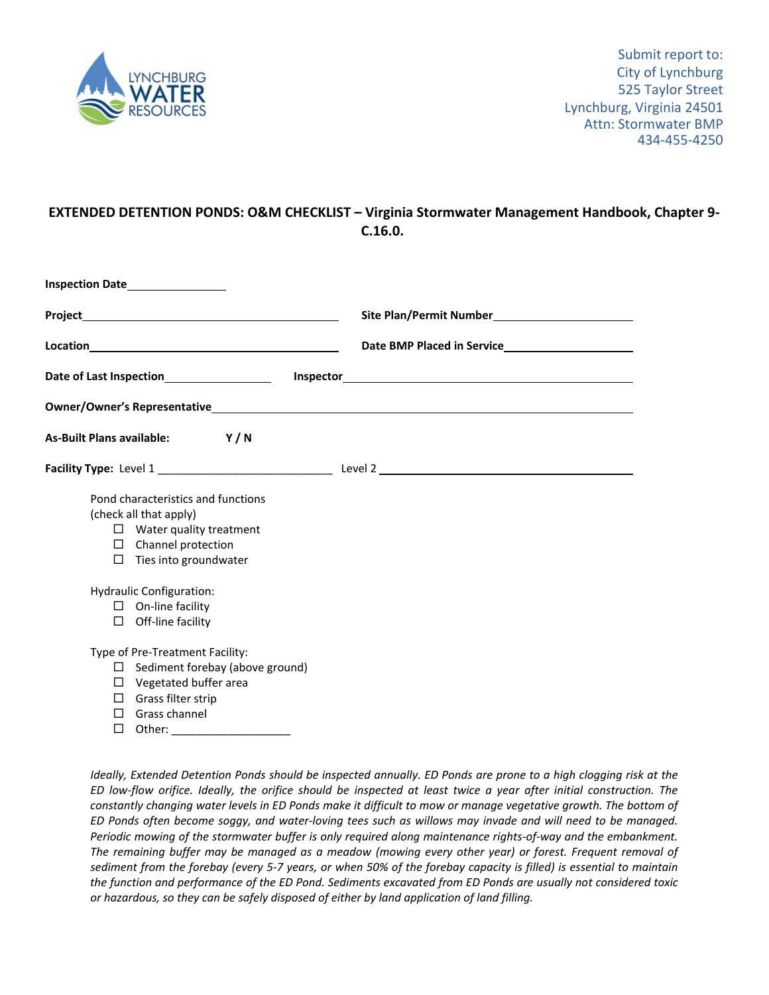

## **EXTENDED DETENTION PONDS: O&M CHECKLIST – Virginia Stormwater Management Handbook, Chapter 9‐ C.16.0.**

| Inspection Date__________________                                                                                                                              |                                                                                                                     |
|----------------------------------------------------------------------------------------------------------------------------------------------------------------|---------------------------------------------------------------------------------------------------------------------|
|                                                                                                                                                                | Site Plan/Permit Number<br><u>[</u> [11] Management Plan Permit Number<br><u>[16] Management Plan Permit Number</u> |
|                                                                                                                                                                |                                                                                                                     |
|                                                                                                                                                                |                                                                                                                     |
|                                                                                                                                                                |                                                                                                                     |
| As-Built Plans available: Y/N                                                                                                                                  |                                                                                                                     |
|                                                                                                                                                                |                                                                                                                     |
| Pond characteristics and functions<br>(check all that apply)<br>$\Box$ Water quality treatment<br>$\Box$ Channel protection<br>$\Box$ Ties into groundwater    |                                                                                                                     |
| <b>Hydraulic Configuration:</b>                                                                                                                                |                                                                                                                     |
| $\Box$ On-line facility<br>$\Box$ Off-line facility                                                                                                            |                                                                                                                     |
| Type of Pre-Treatment Facility:<br>$\Box$ Sediment forebay (above ground)<br>$\Box$ Vegetated buffer area<br>$\Box$ Grass filter strip<br>$\Box$ Grass channel |                                                                                                                     |

Other: \_\_\_\_\_\_\_\_\_\_\_\_\_\_\_\_\_\_\_

Ideally, Extended Detention Ponds should be inspected annually. ED Ponds are prone to a high clogging risk at the ED low-flow orifice. Ideally, the orifice should be inspected at least twice a year after initial construction. The constantly changing water levels in ED Ponds make it difficult to mow or manage vegetative growth. The bottom of ED Ponds often become soggy, and water-loving tees such as willows may invade and will need to be managed. Periodic mowing of the stormwater buffer is only required along maintenance rights-of-way and the embankment. The remaining buffer may be managed as a meadow (mowing every other year) or forest. Frequent removal of sediment from the forebay (every 5-7 years, or when 50% of the forebay capacity is filled) is essential to maintain the function and performance of the ED Pond. Sediments excavated from ED Ponds are usually not considered toxic *or hazardous, so they can be safely disposed of either by land application of land filling.*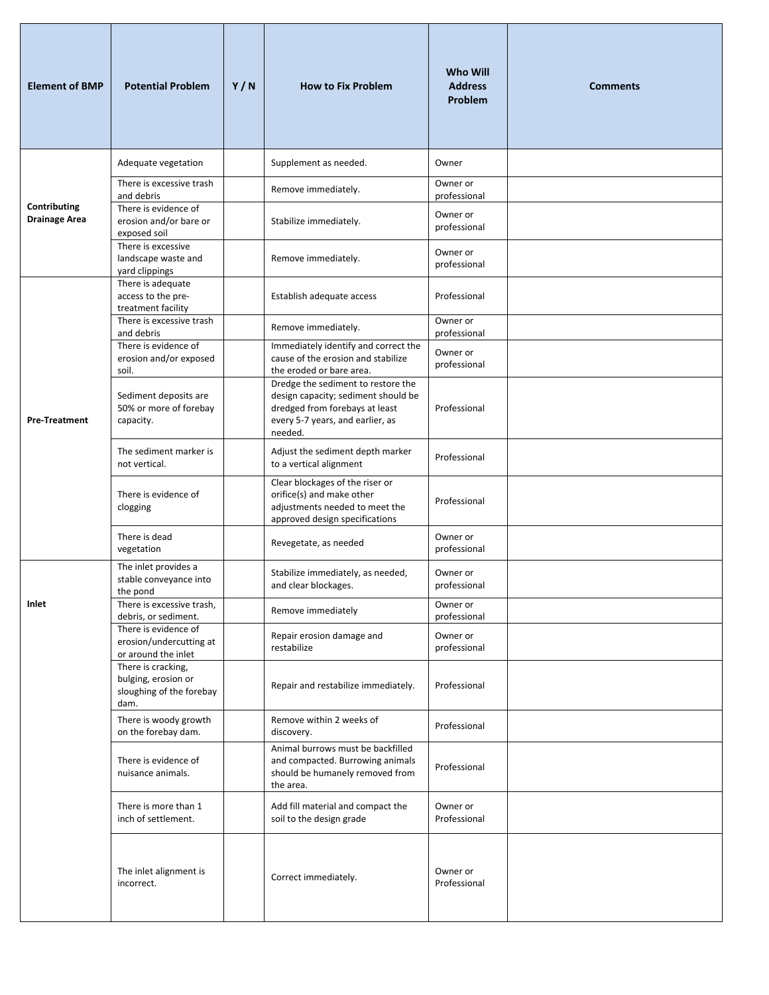| <b>Element of BMP</b>                | <b>Potential Problem</b>                                                      | Y/N | <b>How to Fix Problem</b>                                                                                                                                  | Who Will<br><b>Address</b><br>Problem | <b>Comments</b> |
|--------------------------------------|-------------------------------------------------------------------------------|-----|------------------------------------------------------------------------------------------------------------------------------------------------------------|---------------------------------------|-----------------|
|                                      | Adequate vegetation                                                           |     | Supplement as needed.                                                                                                                                      | Owner                                 |                 |
|                                      | There is excessive trash<br>and debris                                        |     | Remove immediately.                                                                                                                                        | Owner or<br>professional              |                 |
| Contributing<br><b>Drainage Area</b> | There is evidence of<br>erosion and/or bare or<br>exposed soil                |     | Stabilize immediately.                                                                                                                                     | Owner or<br>professional              |                 |
|                                      | There is excessive<br>landscape waste and<br>yard clippings                   |     | Remove immediately.                                                                                                                                        | Owner or<br>professional              |                 |
|                                      | There is adequate<br>access to the pre-<br>treatment facility                 |     | Establish adequate access                                                                                                                                  | Professional                          |                 |
|                                      | There is excessive trash<br>and debris                                        |     | Remove immediately.                                                                                                                                        | Owner or<br>professional              |                 |
|                                      | There is evidence of<br>erosion and/or exposed<br>soil.                       |     | Immediately identify and correct the<br>cause of the erosion and stabilize<br>the eroded or bare area.                                                     | Owner or<br>professional              |                 |
| <b>Pre-Treatment</b>                 | Sediment deposits are<br>50% or more of forebay<br>capacity.                  |     | Dredge the sediment to restore the<br>design capacity; sediment should be<br>dredged from forebays at least<br>every 5-7 years, and earlier, as<br>needed. | Professional                          |                 |
|                                      | The sediment marker is<br>not vertical.                                       |     | Adjust the sediment depth marker<br>to a vertical alignment                                                                                                | Professional                          |                 |
|                                      | There is evidence of<br>clogging                                              |     | Clear blockages of the riser or<br>orifice(s) and make other<br>adjustments needed to meet the<br>approved design specifications                           | Professional                          |                 |
|                                      | There is dead<br>vegetation                                                   |     | Revegetate, as needed                                                                                                                                      | Owner or<br>professional              |                 |
|                                      | The inlet provides a<br>stable conveyance into<br>the pond                    |     | Stabilize immediately, as needed,<br>and clear blockages.                                                                                                  | Owner or<br>professional              |                 |
| Inlet                                | There is excessive trash,<br>debris, or sediment.                             |     | Remove immediately                                                                                                                                         | Owner or<br>professional              |                 |
|                                      | There is evidence of<br>erosion/undercutting at<br>or around the inlet        |     | Repair erosion damage and<br>restabilize                                                                                                                   | Owner or<br>professional              |                 |
|                                      | There is cracking,<br>bulging, erosion or<br>sloughing of the forebay<br>dam. |     | Repair and restabilize immediately.                                                                                                                        | Professional                          |                 |
|                                      | There is woody growth<br>on the forebay dam.                                  |     | Remove within 2 weeks of<br>discovery.                                                                                                                     | Professional                          |                 |
|                                      | There is evidence of<br>nuisance animals.                                     |     | Animal burrows must be backfilled<br>and compacted. Burrowing animals<br>should be humanely removed from<br>the area.                                      | Professional                          |                 |
|                                      | There is more than 1<br>inch of settlement.                                   |     | Add fill material and compact the<br>soil to the design grade                                                                                              | Owner or<br>Professional              |                 |
|                                      | The inlet alignment is<br>incorrect.                                          |     | Correct immediately.                                                                                                                                       | Owner or<br>Professional              |                 |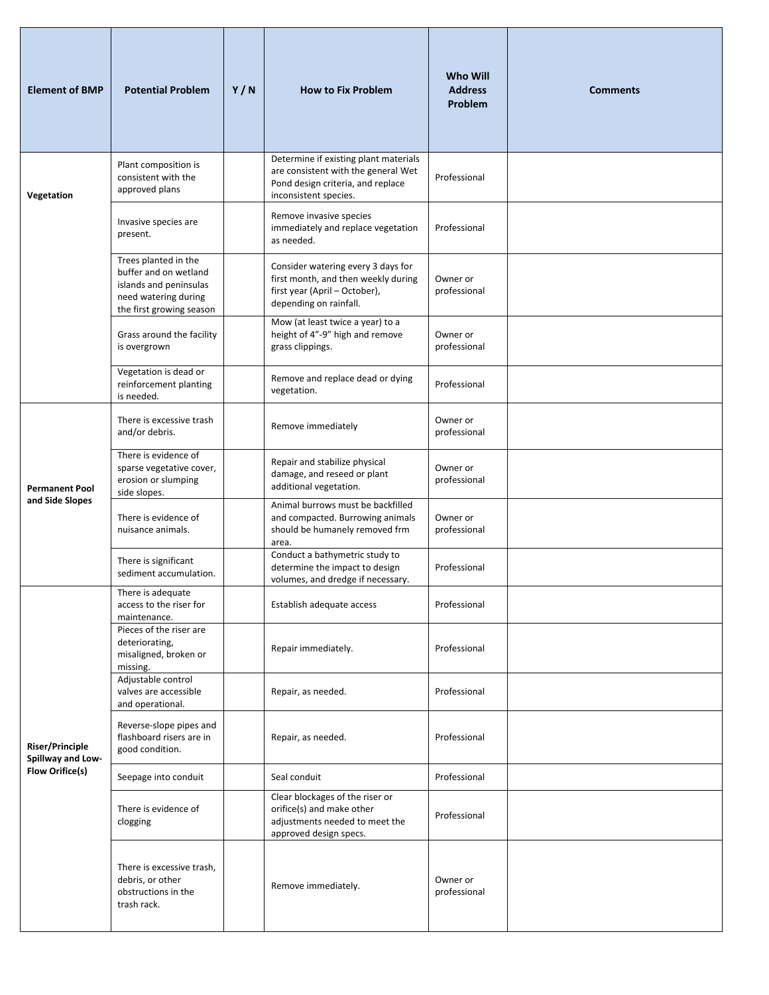| <b>Element of BMP</b>                                          | <b>Potential Problem</b>                                                                                                    | Y/N | <b>How to Fix Problem</b>                                                                                                                  | Who Will<br><b>Address</b><br>Problem | <b>Comments</b> |
|----------------------------------------------------------------|-----------------------------------------------------------------------------------------------------------------------------|-----|--------------------------------------------------------------------------------------------------------------------------------------------|---------------------------------------|-----------------|
| Vegetation                                                     | Plant composition is<br>consistent with the<br>approved plans                                                               |     | Determine if existing plant materials<br>are consistent with the general Wet<br>Pond design criteria, and replace<br>inconsistent species. | Professional                          |                 |
|                                                                | Invasive species are<br>present.                                                                                            |     | Remove invasive species<br>immediately and replace vegetation<br>as needed.                                                                | Professional                          |                 |
|                                                                | Trees planted in the<br>buffer and on wetland<br>islands and peninsulas<br>need watering during<br>the first growing season |     | Consider watering every 3 days for<br>first month, and then weekly during<br>first year (April - October),<br>depending on rainfall.       | Owner or<br>professional              |                 |
|                                                                | Grass around the facility<br>is overgrown                                                                                   |     | Mow (at least twice a year) to a<br>height of 4"-9" high and remove<br>grass clippings.                                                    | Owner or<br>professional              |                 |
|                                                                | Vegetation is dead or<br>reinforcement planting<br>is needed.                                                               |     | Remove and replace dead or dying<br>vegetation.                                                                                            | Professional                          |                 |
| <b>Permanent Pool</b><br>and Side Slopes                       | There is excessive trash<br>and/or debris.                                                                                  |     | Remove immediately                                                                                                                         | Owner or<br>professional              |                 |
|                                                                | There is evidence of<br>sparse vegetative cover,<br>erosion or slumping<br>side slopes.                                     |     | Repair and stabilize physical<br>damage, and reseed or plant<br>additional vegetation.                                                     | Owner or<br>professional              |                 |
|                                                                | There is evidence of<br>nuisance animals.                                                                                   |     | Animal burrows must be backfilled<br>and compacted. Burrowing animals<br>should be humanely removed frm<br>area.                           | Owner or<br>professional              |                 |
|                                                                | There is significant<br>sediment accumulation.                                                                              |     | Conduct a bathymetric study to<br>determine the impact to design<br>volumes, and dredge if necessary.                                      | Professional                          |                 |
|                                                                | There is adequate<br>access to the riser for<br>maintenance.                                                                |     | Establish adequate access                                                                                                                  | Professional                          |                 |
| Riser/Principle<br>Spillway and Low-<br><b>Flow Orifice(s)</b> | Pieces of the riser are<br>deteriorating,<br>misaligned, broken or<br>missing.                                              |     | Repair immediately.                                                                                                                        | Professional                          |                 |
|                                                                | Adjustable control<br>valves are accessible<br>and operational.                                                             |     | Repair, as needed.                                                                                                                         | Professional                          |                 |
|                                                                | Reverse-slope pipes and<br>flashboard risers are in<br>good condition.                                                      |     | Repair, as needed.                                                                                                                         | Professional                          |                 |
|                                                                | Seepage into conduit                                                                                                        |     | Seal conduit                                                                                                                               | Professional                          |                 |
|                                                                | There is evidence of<br>clogging                                                                                            |     | Clear blockages of the riser or<br>orifice(s) and make other<br>adjustments needed to meet the<br>approved design specs.                   | Professional                          |                 |
|                                                                | There is excessive trash,<br>debris, or other<br>obstructions in the<br>trash rack.                                         |     | Remove immediately.                                                                                                                        | Owner or<br>professional              |                 |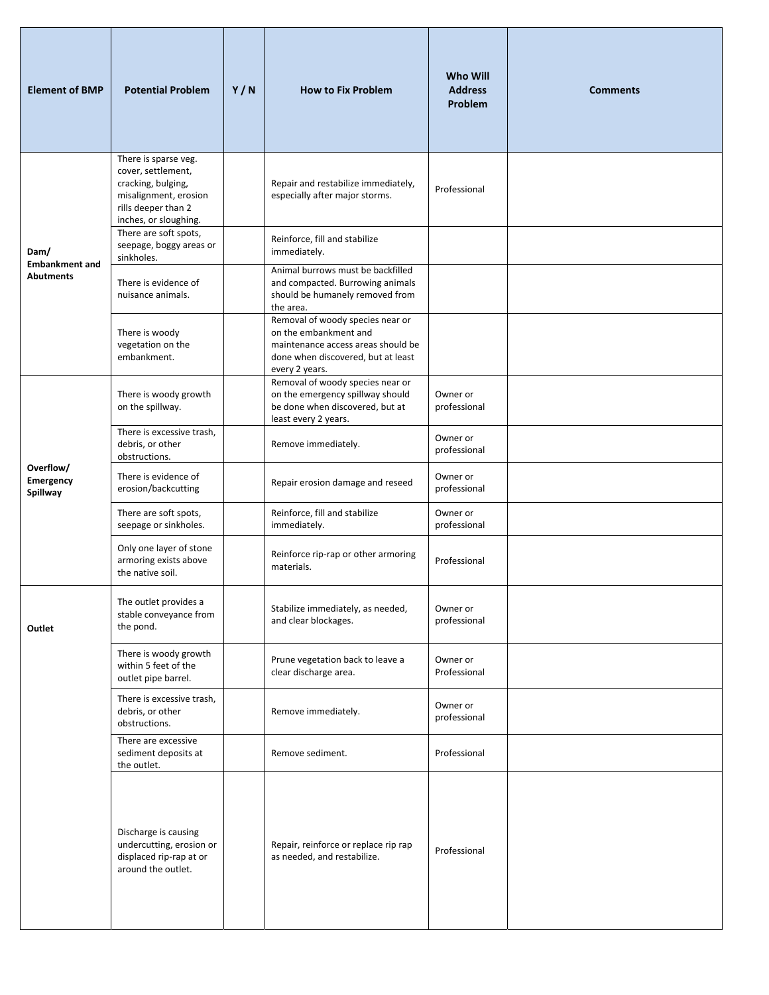| <b>Element of BMP</b>                     | <b>Potential Problem</b>                                                                                                                  | Y/N | <b>How to Fix Problem</b>                                                                                                                               | <b>Who Will</b><br><b>Address</b><br>Problem | <b>Comments</b> |
|-------------------------------------------|-------------------------------------------------------------------------------------------------------------------------------------------|-----|---------------------------------------------------------------------------------------------------------------------------------------------------------|----------------------------------------------|-----------------|
|                                           | There is sparse veg.<br>cover, settlement,<br>cracking, bulging,<br>misalignment, erosion<br>rills deeper than 2<br>inches, or sloughing. |     | Repair and restabilize immediately,<br>especially after major storms.                                                                                   | Professional                                 |                 |
| Dam/                                      | There are soft spots,<br>seepage, boggy areas or<br>sinkholes.                                                                            |     | Reinforce, fill and stabilize<br>immediately.                                                                                                           |                                              |                 |
| <b>Embankment and</b><br><b>Abutments</b> | There is evidence of<br>nuisance animals.                                                                                                 |     | Animal burrows must be backfilled<br>and compacted. Burrowing animals<br>should be humanely removed from<br>the area.                                   |                                              |                 |
|                                           | There is woody<br>vegetation on the<br>embankment.                                                                                        |     | Removal of woody species near or<br>on the embankment and<br>maintenance access areas should be<br>done when discovered, but at least<br>every 2 years. |                                              |                 |
| Overflow/<br>Emergency<br>Spillway        | There is woody growth<br>on the spillway.                                                                                                 |     | Removal of woody species near or<br>on the emergency spillway should<br>be done when discovered, but at<br>least every 2 years.                         | Owner or<br>professional                     |                 |
|                                           | There is excessive trash,<br>debris, or other<br>obstructions.                                                                            |     | Remove immediately.                                                                                                                                     | Owner or<br>professional                     |                 |
|                                           | There is evidence of<br>erosion/backcutting                                                                                               |     | Repair erosion damage and reseed                                                                                                                        | Owner or<br>professional                     |                 |
|                                           | There are soft spots,<br>seepage or sinkholes.                                                                                            |     | Reinforce, fill and stabilize<br>immediately.                                                                                                           | Owner or<br>professional                     |                 |
|                                           | Only one layer of stone<br>armoring exists above<br>the native soil.                                                                      |     | Reinforce rip-rap or other armoring<br>materials.                                                                                                       | Professional                                 |                 |
| Outlet                                    | The outlet provides a<br>stable conveyance from<br>the pond.                                                                              |     | Stabilize immediately, as needed,<br>and clear blockages.                                                                                               | Owner or<br>professional                     |                 |
|                                           | There is woody growth<br>within 5 feet of the<br>outlet pipe barrel.                                                                      |     | Prune vegetation back to leave a<br>clear discharge area.                                                                                               | Owner or<br>Professional                     |                 |
|                                           | There is excessive trash,<br>debris, or other<br>obstructions.                                                                            |     | Remove immediately.                                                                                                                                     | Owner or<br>professional                     |                 |
|                                           | There are excessive<br>sediment deposits at<br>the outlet.                                                                                |     | Remove sediment.                                                                                                                                        | Professional                                 |                 |
|                                           | Discharge is causing<br>undercutting, erosion or<br>displaced rip-rap at or<br>around the outlet.                                         |     | Repair, reinforce or replace rip rap<br>as needed, and restabilize.                                                                                     | Professional                                 |                 |